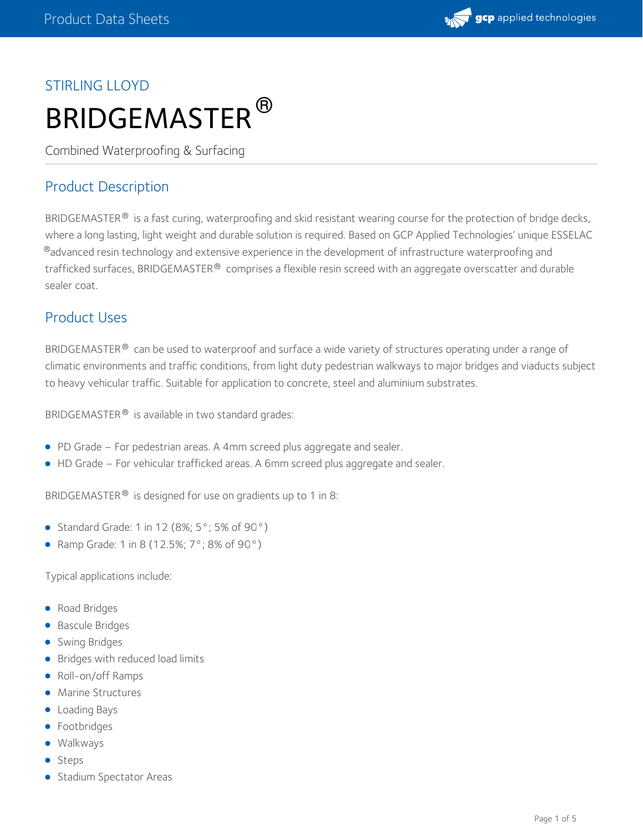

# STIRLING LLOYD BRIDGEMASTER ®

Combined Waterproofing & Surfacing

# Product Description

BRIDGEMASTER  $^\circledast$  is a fast curing, waterproofing and skid resistant wearing course for the protection of bridge decks, where a long lasting, light weight and durable solution is required. Based on GCP Applied Technologies' unique ESSELAC  $^\circledR$ advanced resin technology and extensive experience in the development of infrastructure waterproofing and trafficked surfaces, BRIDGEMASTER $^\circledast$  comprises a flexible resin screed with an aggregate overscatter and durable sealer coat.

## Product Uses

BRIDGEMASTER  $^{\circledast}$  can be used to waterproof and surface a wide variety of structures operating under a range of climatic environments and traffic conditions, from light duty pedestrian walkways to major bridges and viaducts subject to heavy vehicular traffic. Suitable for application to concrete, steel and aluminium substrates.

BRIDGEMASTER<sup>®</sup> is available in two standard grades:

- PD Grade For pedestrian areas. A 4mm screed plus aggregate and sealer.
- HD Grade For vehicular trafficked areas. A 6mm screed plus aggregate and sealer.

BRIDGEMASTER  $^{\circledR}$  is designed for use on gradients up to 1 in 8:

- Standard Grade: 1 in 12 (8%;  $5^{\circ}$ ; 5% of 90 $^{\circ}$ )
- Ramp Grade: 1 in 8 (12.5%; 7°; 8% of 90°)

Typical applications include:

- Road Bridges
- **Bascule Bridges**
- **Swing Bridges**
- **•** Bridges with reduced load limits
- Roll-on/off Ramps
- Marine Structures
- **•** Loading Bays
- **•** Footbridges
- Walkways
- Steps
- **Stadium Spectator Areas**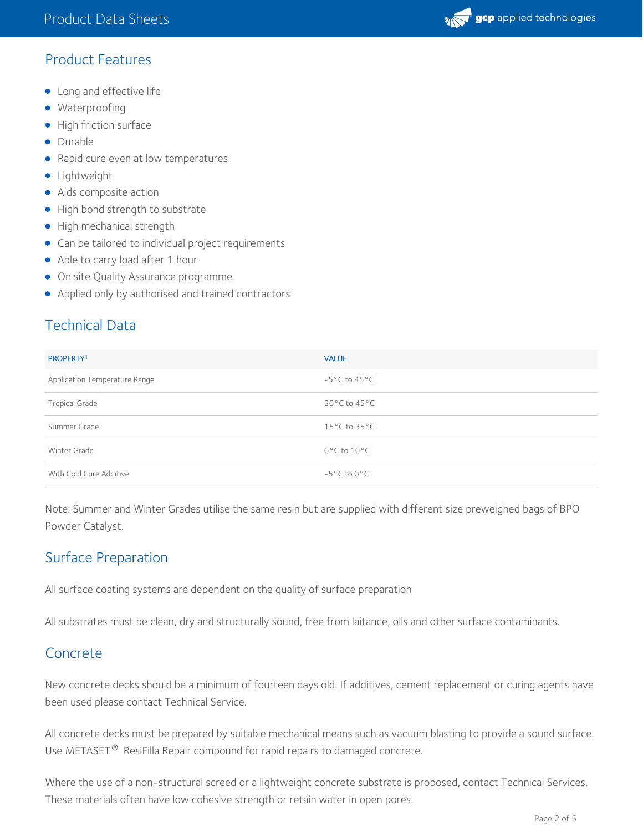

### Product Features

- Long and effective life
- **·** Waterproofing
- High friction surface
- Durable
- Rapid cure even at low temperatures
- **·** Lightweight
- Aids composite action
- High bond strength to substrate
- High mechanical strength
- Can be tailored to individual project requirements
- Able to carry load after 1 hour
- **•** On site Quality Assurance programme
- Applied only by authorised and trained contractors

# Technical Data

| PROPERTY <sup>1</sup>         | <b>VALUE</b>                      |
|-------------------------------|-----------------------------------|
| Application Temperature Range | $-5^{\circ}$ C to 45 $^{\circ}$ C |
| <b>Tropical Grade</b>         | $20^{\circ}$ C to 45 $^{\circ}$ C |
| Summer Grade                  | $15^{\circ}$ C to $35^{\circ}$ C  |
| Winter Grade                  | $0^{\circ}$ C to 10 $^{\circ}$ C  |
| With Cold Cure Additive       | $-5^{\circ}$ C to 0 $^{\circ}$ C  |

Note: Summer and Winter Grades utilise the same resin but are supplied with different size preweighed bags of BPO Powder Catalyst.

### Surface Preparation

All surface coating systems are dependent on the quality of surface preparation

All substrates must be clean, dry and structurally sound, free from laitance, oils and other surface contaminants.

### Concrete

New concrete decks should be a minimum of fourteen days old. If additives, cement replacement or curing agents have been used please contact Technical Service.

All concrete decks must be prepared by suitable mechanical means such as vacuum blasting to provide a sound surface. Use METASET $^\circledR$  ResiFilla Repair compound for rapid repairs to damaged concrete.

Where the use of a non-structural screed or a lightweight concrete substrate is proposed, contact Technical Services. These materials often have low cohesive strength or retain water in open pores.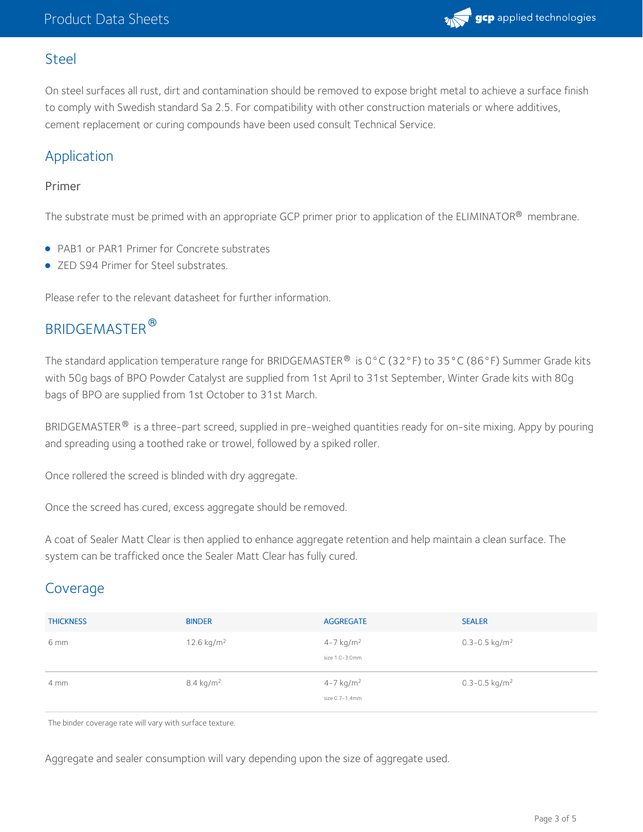

#### Steel

On steel surfaces all rust, dirt and contamination should be removed to expose bright metal to achieve a surface finish to comply with Swedish standard Sa 2.5. For compatibility with other construction materials or where additives, cement replacement or curing compounds have been used consult Technical Service.

### Application

#### Primer

The substrate must be primed with an appropriate GCP primer prior to application of the ELIMINATOR® membrane.

- PAB1 or PAR1 Primer for Concrete substrates
- ZED S94 Primer for Steel substrates.

Please refer to the relevant datasheet for further information.

# BRIDGEMASTER ®

The standard application temperature range for BRIDGEMASTER® is 0°C (32°F) to 35°C (86°F) Summer Grade kits with 50g bags of BPO Powder Catalyst are supplied from 1st April to 31st September, Winter Grade kits with 80g bags of BPO are supplied from 1st October to 31st March.

BRIDGEMASTER $^\circledast$  is a three-part screed, supplied in pre-weighed quantities ready for on-site mixing. Appy by pouring and spreading using a toothed rake or trowel, followed by a spiked roller.

Once rollered the screed is blinded with dry aggregate.

Once the screed has cured, excess aggregate should be removed.

A coat of Sealer Matt Clear is then applied to enhance aggregate retention and help maintain a clean surface. The system can be trafficked once the Sealer Matt Clear has fully cured.

### Coverage

| <b>THICKNESS</b> | <b>BINDER</b>          | <b>AGGREGATE</b>                            | <b>SEALER</b>                 |
|------------------|------------------------|---------------------------------------------|-------------------------------|
| 6 mm             | 12.6 kg/m <sup>2</sup> | $4 - 7$ kg/m <sup>2</sup><br>size 1.0-3.0mm | $0.3 - 0.5$ kg/m <sup>2</sup> |
| $4 \text{ mm}$   | $8.4 \text{ kg/m}^2$   | $4 - 7$ kg/m <sup>2</sup><br>size 0.7-1.4mm | 0.3-0.5 kg/m <sup>2</sup>     |

The binder coverage rate will vary with surface texture.

Aggregate and sealer consumption will vary depending upon the size of aggregate used.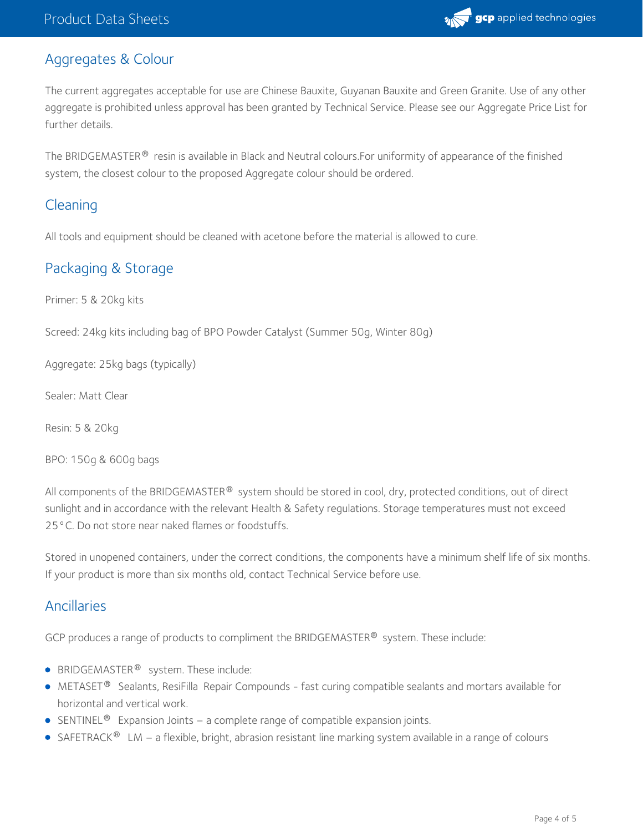

### Aggregates & Colour

The current aggregates acceptable for use are Chinese Bauxite, Guyanan Bauxite and Green Granite. Use of any other aggregate is prohibited unless approval has been granted by Technical Service. Please see our Aggregate Price List for further details.

The BRIDGEMASTER $^\circledast$  resin is available in Black and Neutral colours.For uniformity of appearance of the finished system, the closest colour to the proposed Aggregate colour should be ordered.

### Cleaning

All tools and equipment should be cleaned with acetone before the material is allowed to cure.

### Packaging & Storage

Primer: 5 & 20kg kits

Screed: 24kg kits including bag of BPO Powder Catalyst (Summer 50g, Winter 80g)

Aggregate: 25kg bags (typically)

Sealer: Matt Clear

Resin: 5 & 20kg

BPO: 150g & 600g bags

All components of the BRIDGEMASTER  $^\circledast$  system should be stored in cool, dry, protected conditions, out of direct sunlight and in accordance with the relevant Health & Safety regulations. Storage temperatures must not exceed 25°C. Do not store near naked flames or foodstuffs.

Stored in unopened containers, under the correct conditions, the components have a minimum shelf life of six months. If your product is more than six months old, contact Technical Service before use.

### Ancillaries

GCP produces a range of products to compliment the BRIDGEMASTER $^{\circledR}$  system. These include:

- BRIDGEMASTER<sup>®</sup> system. These include:
- METASET $^{\circledR}$  Sealants, ResiFilla Repair Compounds fast curing compatible sealants and mortars available for horizontal and vertical work.
- SENTINEL<sup>®</sup> Expansion Joints a complete range of compatible expansion joints.
- SAFETRACK<sup>®</sup> LM a flexible, bright, abrasion resistant line marking system available in a range of colours